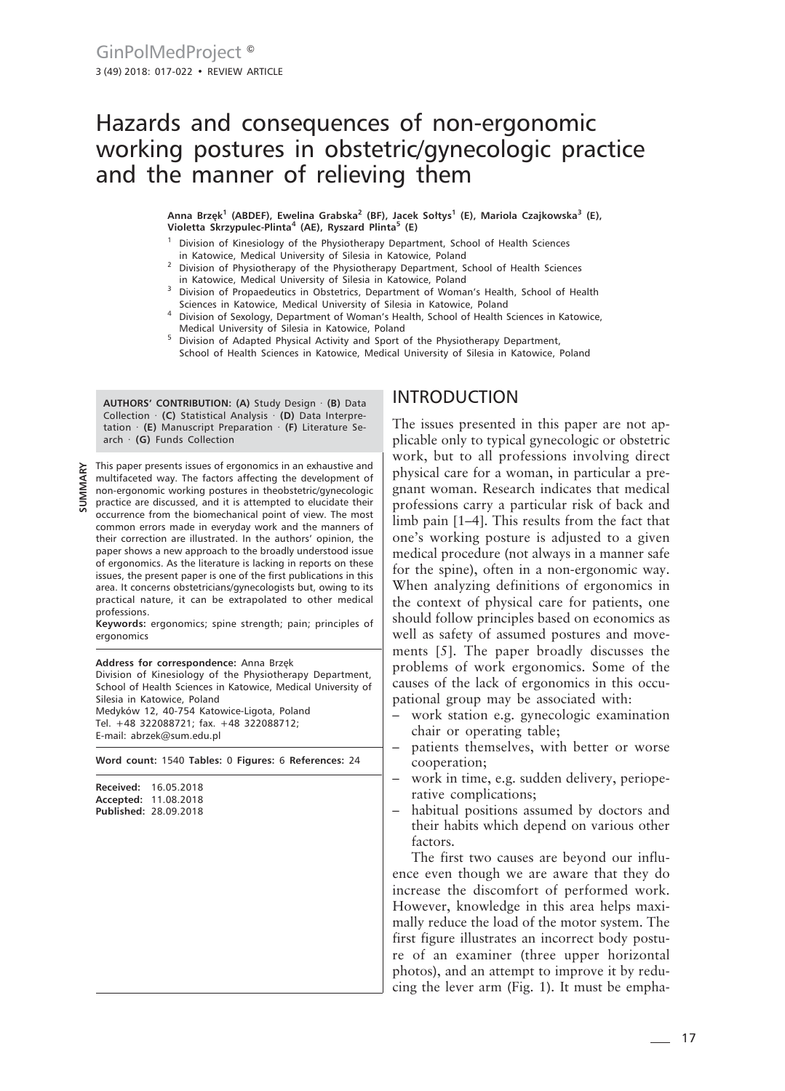# Hazards and consequences of non-ergonomic working postures in obstetric/gynecologic practice and the manner of relieving them

**Anna Brzęk<sup>1</sup> (ABDEF), Ewelina Grabska<sup>2</sup> (BF), Jacek Sołtys<sup>1</sup> (E), Mariola Czajkowska3 (E), Violetta Skrzypulec-Plinta<sup>4</sup> (AE), Ryszard Plinta<sup>5</sup> (E)**

- <sup>1</sup> Division of Kinesiology of the Physiotherapy Department, School of Health Sciences in Katowice, Medical University of Silesia in Katowice, Poland
- <sup>2</sup> Division of Physiotherapy of the Physiotherapy Department, School of Health Sciences in Katowice, Medical University of Silesia in Katowice, Poland
- <sup>3</sup> Division of Propaedeutics in Obstetrics, Department of Woman's Health, School of Health Sciences in Katowice, Medical University of Silesia in Katowice, Poland
- <sup>4</sup> Division of Sexology, Department of Woman's Health, School of Health Sciences in Katowice, Medical University of Silesia in Katowice, Poland
- <sup>5</sup> Division of Adapted Physical Activity and Sport of the Physiotherapy Department, School of Health Sciences in Katowice, Medical University of Silesia in Katowice, Poland

**AUTHORS' CONTRIBUTION: (A)** Study Design · **(B)** Data Collection · **(C)** Statistical Analysis · **(D)** Data Interpretation · **(E)** Manuscript Preparation · **(F)** Literature Search · **(G)** Funds Collection

This paper presents issues of ergonomics in an exhaustive and multifaceted way. The factors affecting the development of non-ergonomic working postures in theobstetric/gynecologic practice are discussed, and it is attempted to elucidate their occurrence from the biomechanical point of view. The most common errors made in everyday work and the manners of their correction are illustrated. In the authors' opinion, the paper shows a new approach to the broadly understood issue of ergonomics. As the literature is lacking in reports on these issues, the present paper is one of the first publications in this area. It concerns obstetricians/gynecologists but, owing to its practical nature, it can be extrapolated to other medical professions.

**Keywords:** ergonomics; spine strength; pain; principles of ergonomics

#### **Address for correspondence:** Anna Brzęk

Division of Kinesiology of the Physiotherapy Department, School of Health Sciences in Katowice, Medical University of Silesia in Katowice, Poland Medyków 12, 40-754 Katowice-Ligota, Poland Tel. +48 322088721; fax. +48 322088712; E-mail: abrzek@sum.edu.pl

**Word count:** 1540 **Tables:** 0 **Figures:** 6 **References:** 24

**Received:** 16.05.2018 **Accepted:** 11.08.2018 **Published:** 28.09.2018

## INTRODUCTION

The issues presented in this paper are not applicable only to typical gynecologic or obstetric work, but to all professions involving direct physical care for a woman, in particular a pregnant woman. Research indicates that medical professions carry a particular risk of back and limb pain [1–4]. This results from the fact that one's working posture is adjusted to a given medical procedure (not always in a manner safe for the spine), often in a non-ergonomic way. When analyzing definitions of ergonomics in the context of physical care for patients, one should follow principles based on economics as well as safety of assumed postures and movements [5]. The paper broadly discusses the problems of work ergonomics. Some of the causes of the lack of ergonomics in this occupational group may be associated with:

- work station e.g. gynecologic examination chair or operating table;
- patients themselves, with better or worse cooperation;
- work in time, e.g. sudden delivery, perioperative complications;
- habitual positions assumed by doctors and their habits which depend on various other factors.

The first two causes are beyond our influence even though we are aware that they do increase the discomfort of performed work. However, knowledge in this area helps maximally reduce the load of the motor system. The first figure illustrates an incorrect body posture of an examiner (three upper horizontal photos), and an attempt to improve it by reducing the lever arm (Fig. 1). It must be empha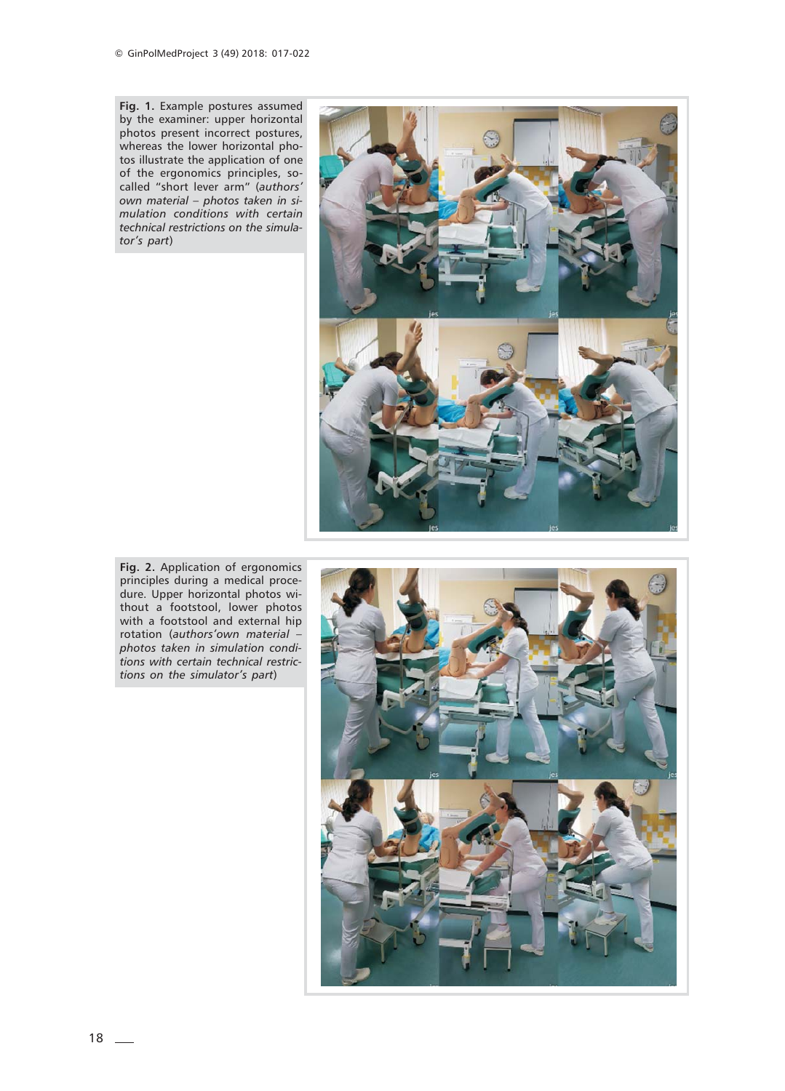**Fig. 1.** Example postures assumed by the examiner: upper horizontal photos present incorrect postures, whereas the lower horizontal photos illustrate the application of one of the ergonomics principles, socalled "short lever arm" (*authors' own material – photos taken in simulation conditions with certain technical restrictions on the simulator's part*)



**Fig. 2.** Application of ergonomics principles during a medical procedure. Upper horizontal photos without a footstool, lower photos with a footstool and external hip rotation (*authors'own material – photos taken in simulation conditions with certain technical restrictions on the simulator's part*)

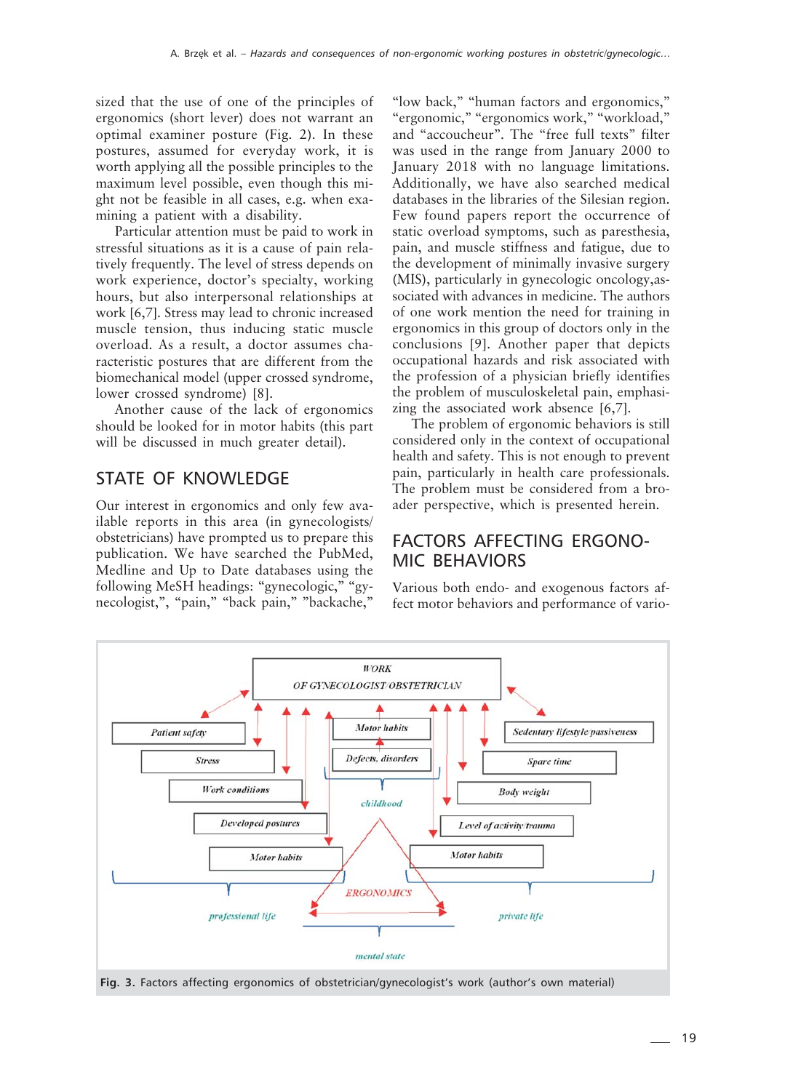sized that the use of one of the principles of ergonomics (short lever) does not warrant an optimal examiner posture (Fig. 2). In these postures, assumed for everyday work, it is worth applying all the possible principles to the maximum level possible, even though this might not be feasible in all cases, e.g. when examining a patient with a disability.

Particular attention must be paid to work in stressful situations as it is a cause of pain relatively frequently. The level of stress depends on work experience, doctor's specialty, working hours, but also interpersonal relationships at work [6,7]. Stress may lead to chronic increased muscle tension, thus inducing static muscle overload. As a result, a doctor assumes characteristic postures that are different from the biomechanical model (upper crossed syndrome, lower crossed syndrome) [8].

Another cause of the lack of ergonomics should be looked for in motor habits (this part will be discussed in much greater detail).

### STATE OF KNOWLEDGE

Our interest in ergonomics and only few available reports in this area (in gynecologists/ obstetricians) have prompted us to prepare this publication. We have searched the PubMed, Medline and Up to Date databases using the following MeSH headings: "gynecologic," "gynecologist,", "pain," "back pain," "backache,"

"low back," "human factors and ergonomics," "ergonomic," "ergonomics work," "workload," and "accoucheur". The "free full texts" filter was used in the range from January 2000 to January 2018 with no language limitations. Additionally, we have also searched medical databases in the libraries of the Silesian region. Few found papers report the occurrence of static overload symptoms, such as paresthesia, pain, and muscle stiffness and fatigue, due to the development of minimally invasive surgery (MIS), particularly in gynecologic oncology,associated with advances in medicine. The authors of one work mention the need for training in ergonomics in this group of doctors only in the conclusions [9]. Another paper that depicts occupational hazards and risk associated with the profession of a physician briefly identifies the problem of musculoskeletal pain, emphasizing the associated work absence [6,7].

The problem of ergonomic behaviors is still considered only in the context of occupational health and safety. This is not enough to prevent pain, particularly in health care professionals. The problem must be considered from a broader perspective, which is presented herein.

### FACTORS AFFECTING ERGONO-MIC BEHAVIORS

Various both endo- and exogenous factors affect motor behaviors and performance of vario-



**Fig. 3.** Factors affecting ergonomics of obstetrician/gynecologist's work (author's own material)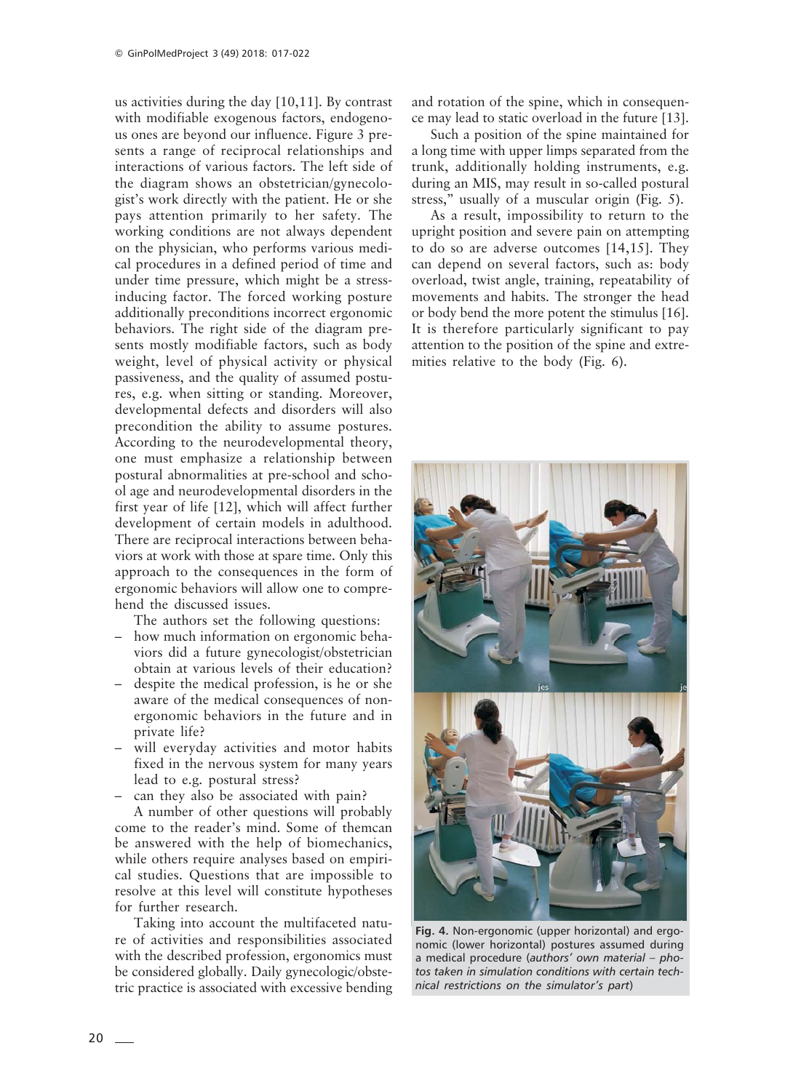us activities during the day [10,11]. By contrast with modifiable exogenous factors, endogenous ones are beyond our influence. Figure 3 presents a range of reciprocal relationships and interactions of various factors. The left side of the diagram shows an obstetrician/gynecologist's work directly with the patient. He or she pays attention primarily to her safety. The working conditions are not always dependent on the physician, who performs various medical procedures in a defined period of time and under time pressure, which might be a stressinducing factor. The forced working posture additionally preconditions incorrect ergonomic behaviors. The right side of the diagram presents mostly modifiable factors, such as body weight, level of physical activity or physical passiveness, and the quality of assumed postures, e.g. when sitting or standing. Moreover, developmental defects and disorders will also precondition the ability to assume postures. According to the neurodevelopmental theory, one must emphasize a relationship between postural abnormalities at pre-school and school age and neurodevelopmental disorders in the first year of life [12], which will affect further development of certain models in adulthood. There are reciprocal interactions between behaviors at work with those at spare time. Only this approach to the consequences in the form of ergonomic behaviors will allow one to comprehend the discussed issues.

The authors set the following questions:

- how much information on ergonomic behaviors did a future gynecologist/obstetrician obtain at various levels of their education?
- despite the medical profession, is he or she aware of the medical consequences of nonergonomic behaviors in the future and in private life?
- will everyday activities and motor habits fixed in the nervous system for many years lead to e.g. postural stress?
- can they also be associated with pain?

A number of other questions will probably come to the reader's mind. Some of themcan be answered with the help of biomechanics, while others require analyses based on empirical studies. Questions that are impossible to resolve at this level will constitute hypotheses for further research.

Taking into account the multifaceted nature of activities and responsibilities associated with the described profession, ergonomics must be considered globally. Daily gynecologic/obstetric practice is associated with excessive bending and rotation of the spine, which in consequence may lead to static overload in the future [13].

Such a position of the spine maintained for a long time with upper limps separated from the trunk, additionally holding instruments, e.g. during an MIS, may result in so-called postural stress," usually of a muscular origin (Fig. 5).

As a result, impossibility to return to the upright position and severe pain on attempting to do so are adverse outcomes [14,15]. They can depend on several factors, such as: body overload, twist angle, training, repeatability of movements and habits. The stronger the head or body bend the more potent the stimulus [16]. It is therefore particularly significant to pay attention to the position of the spine and extremities relative to the body (Fig. 6).



**Fig. 4.** Non-ergonomic (upper horizontal) and ergonomic (lower horizontal) postures assumed during a medical procedure (*authors' own material – photos taken in simulation conditions with certain technical restrictions on the simulator's part*)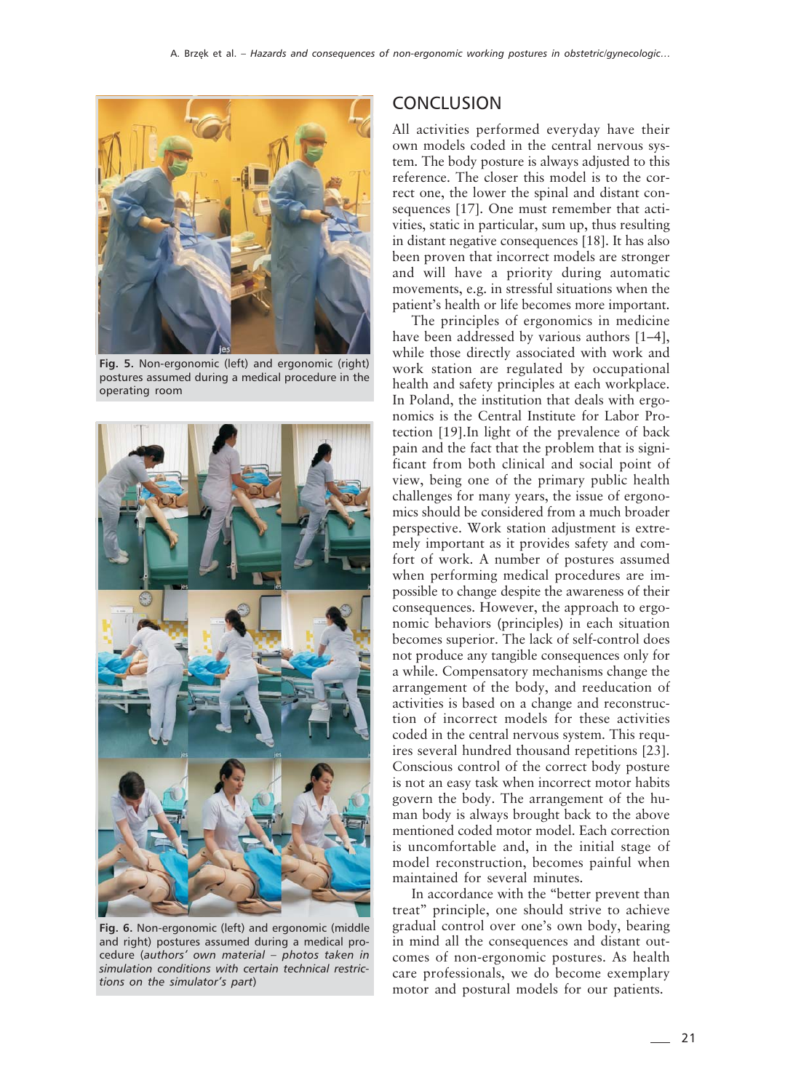

**Fig. 5.** Non-ergonomic (left) and ergonomic (right) postures assumed during a medical procedure in the operating room



**Fig. 6.** Non-ergonomic (left) and ergonomic (middle and right) postures assumed during a medical procedure (*authors' own material – photos taken in simulation conditions with certain technical restrictions on the simulator's part*)

#### **CONCLUSION**

All activities performed everyday have their own models coded in the central nervous system. The body posture is always adjusted to this reference. The closer this model is to the correct one, the lower the spinal and distant consequences [17]. One must remember that activities, static in particular, sum up, thus resulting in distant negative consequences [18]. It has also been proven that incorrect models are stronger and will have a priority during automatic movements, e.g. in stressful situations when the patient's health or life becomes more important.

The principles of ergonomics in medicine have been addressed by various authors [1–4], while those directly associated with work and work station are regulated by occupational health and safety principles at each workplace. In Poland, the institution that deals with ergonomics is the Central Institute for Labor Protection [19].In light of the prevalence of back pain and the fact that the problem that is significant from both clinical and social point of view, being one of the primary public health challenges for many years, the issue of ergonomics should be considered from a much broader perspective. Work station adjustment is extremely important as it provides safety and comfort of work. A number of postures assumed when performing medical procedures are impossible to change despite the awareness of their consequences. However, the approach to ergonomic behaviors (principles) in each situation becomes superior. The lack of self-control does not produce any tangible consequences only for a while. Compensatory mechanisms change the arrangement of the body, and reeducation of activities is based on a change and reconstruction of incorrect models for these activities coded in the central nervous system. This requires several hundred thousand repetitions [23]. Conscious control of the correct body posture is not an easy task when incorrect motor habits govern the body. The arrangement of the human body is always brought back to the above mentioned coded motor model. Each correction is uncomfortable and, in the initial stage of model reconstruction, becomes painful when maintained for several minutes.

In accordance with the "better prevent than treat" principle, one should strive to achieve gradual control over one's own body, bearing in mind all the consequences and distant outcomes of non-ergonomic postures. As health care professionals, we do become exemplary motor and postural models for our patients.